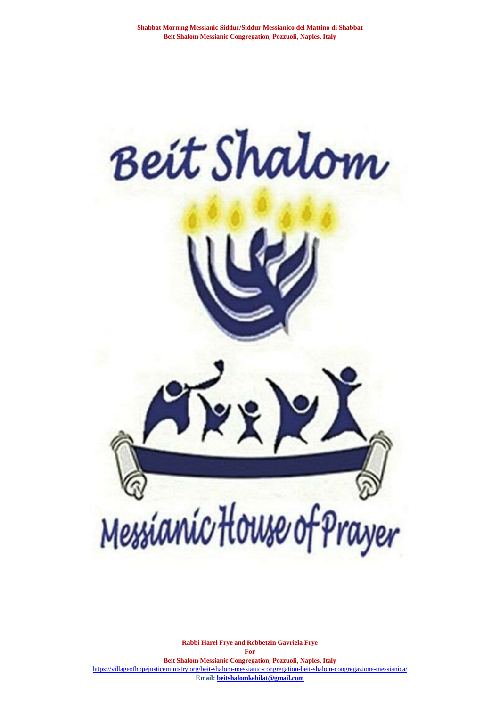

**Rabbi Harel Frye and Rebbetzin Gavriela Frye For Beit Shalom Messianic Congregation, Pozzuoli, Naples, Italy** <https://villageofhopejusticeministry.org/beit-shalom-messianic-congregation-beit-shalom-congregazione-messianica/> **Email[: beitshalomkehilat@gmail.com](mailto:beitshalomkehilat@gmail.com)**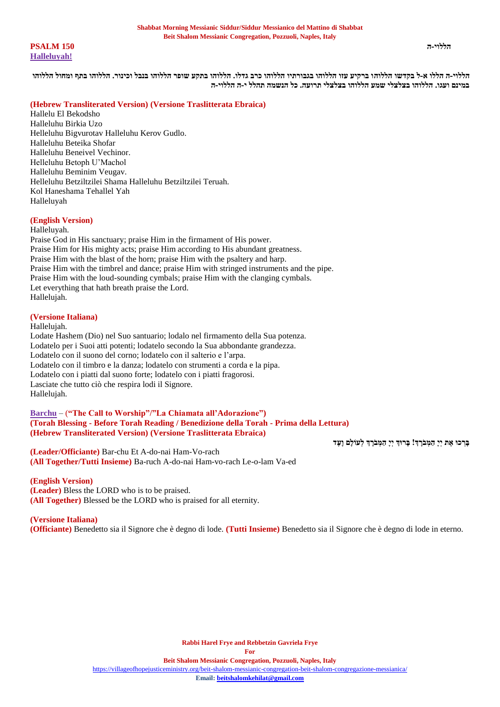**הללוי-ה 150 PSALM [Halleluyah!](https://soundcloud.com/user-114005263/halleluyah-celebration-of-life-alleluia-celebrazione-della-vita?in=user-114005263/sets/new-songs-for-shabbat-nuovi)**

**הללוי-ה הללו א-ל בקדשו הללוהו ברקיע עזו הללוהו בגבורתיו הללוהו כרב גדלו. הללוהו בתקע שופר הללוהו בנבל וכינור. הללוהו בתף ומחול הללוהו במינם ועגו. הללוהו בצלצלי שמע הללוהו בצלצלי תרועה. כל הנשמה תהלל י-ה הללוי-ה**

### **(Hebrew Transliterated Version) (Versione Traslitterata Ebraica)**

Hallelu El Bekodsho Halleluhu Birkia Uzo Helleluhu Bigvurotav Halleluhu Kerov Gudlo. Halleluhu Beteika Shofar Halleluhu Beneivel Vechinor. Helleluhu Betoph U'Machol Halleluhu Beminim Veugav. Helleluhu Betziltzilei Shama Halleluhu Betziltzilei Teruah. Kol Haneshama Tehallel Yah Halleluyah

### **(English Version)**

Halleluyah.

Praise God in His sanctuary; praise Him in the firmament of His power. Praise Him for His mighty acts; praise Him according to His abundant greatness. Praise Him with the blast of the horn; praise Him with the psaltery and harp. Praise Him with the timbrel and dance; praise Him with stringed instruments and the pipe. Praise Him with the loud-sounding cymbals; praise Him with the clanging cymbals. Let everything that hath breath praise the Lord. Hallelujah.

### **(Versione Italiana)**

Hallelujah.

Lodate Hashem (Dio) nel Suo santuario; lodalo nel firmamento della Sua potenza. Lodatelo per i Suoi atti potenti; lodatelo secondo la Sua abbondante grandezza. Lodatelo con il suono del corno; lodatelo con il salterio e l'arpa. Lodatelo con il timbro e la danza; lodatelo con strumenti a corda e la pipa. Lodatelo con i piatti dal suono forte; lodatelo con i piatti fragorosi. Lasciate che tutto ciò che respira lodi il Signore. Hallelujah.

### **[Barchu](https://soundcloud.com/user-114005263/torah-aliyah-blessings-benedizione?in=user-114005263/sets/blessings-benedizioni)** – (**"The Call to Worship"/"La Chiamata all'Adorazione") (Torah Blessing - Before Torah Reading / Benedizione della Torah - Prima della Lettura) (Hebrew Transliterated Version) (Versione Traslitterata Ebraica)**

**(Leader/Officiante)** Bar-chu Et A-do-nai Ham-Vo-rach **(All Together/Tutti Insieme)** Ba-ruch A-do-nai Ham-vo-rach Le-o-lam Va-ed

#### **(English Version)**

**(Leader)** Bless the LORD who is to be praised. **(All Together)** Blessed be the LORD who is praised for all eternity.

### **(Versione Italiana)**

**(Officiante)** Benedetto sia il Signore che è degno di lode. **(Tutti Insieme)** Benedetto sia il Signore che è degno di lode in eterno.

בְּרְכוּ אֶת יְיָ *הַמְבֹרְ***ךְ! בְּרוּךְ יְיָ הַמְבֹרַךְ לְעוֹלָם וַעָּד**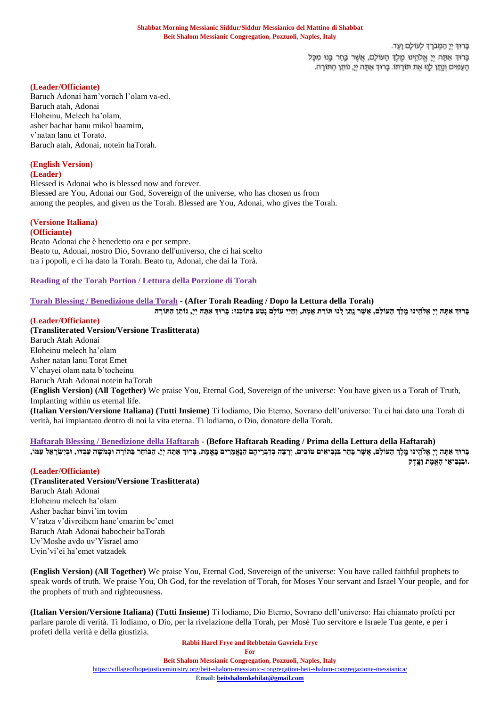כרוד יי המברד לעולם ועד. בָּרוּךְ אַתָּה יְיָ אֱלֹהָינוּ מֶלֶךְ הָעוֹלָם, אֲשֶׁר בֶּחַר בֶּנוּ מִכָּל הָעֲמִים וְנֵתֵן לְנֵוּ אֶת תּוֹרְתוֹ. בָּרוּךְ אֶתָּה יְיָ, נוֹתֵן הַתּוֹרָה.

### **(Leader/Officiante)**

Baruch Adonai ham'vorach l'olam va-ed. Baruch atah, Adonai Eloheinu, Melech ha'olam, asher bachar banu mikol haamim, v'natan lanu et Torato. Baruch atah, Adonai, notein haTorah.

## **(English Version)**

**(Leader)**

Blessed is Adonai who is blessed now and forever. Blessed are You, Adonai our God, Sovereign of the universe, who has chosen us from among the peoples, and given us the Torah. Blessed are You, Adonai, who gives the Torah.

### **(Versione Italiana)**

**(Officiante)**

Beato Adonai che è benedetto ora e per sempre. Beato tu, Adonai, nostro Dio, Sovrano dell'universo, che ci hai scelto tra i popoli, e ci ha dato la Torah. Beato tu, Adonai, che dai la Torà.

**[Reading of the Torah Portion / Lettura della Porzione di Torah](https://villageofhopejusticeministry.org/torah-portions-porzioni-di-torah/)**

### **[Torah Blessing / Benedizione della Torah](https://soundcloud.com/user-114005263/torah-aliyah-blessings-benedizione?in=user-114005263/sets/blessings-benedizioni) - (After Torah Reading / Dopo la Lettura della Torah)**

בָּרוּךְ אַתָּה יִיָּ אֵלֹהֵינוּ מֵלֵךְ הָעוֹלָם, אֲשֶׁר נֵתַּן לֵנוּ תּוֹרַת אֵמֶת, וְחַיֵּי עוֹלָם נָטַע בְּתוֹכֵנוּ: בָּרוּךְ אַתָּה יִיָ, נוֹתֵן הַתּוֹרָה

### **(Leader/Officiante)**

**(Transliterated Version/Versione Traslitterata)** Baruch Atah Adonai Eloheinu melech ha'olam Asher natan lanu Torat Emet V'chayei olam nata b'tocheinu Baruch Atah Adonai notein haTorah **(English Version) (All Together)** We praise You, Eternal God, Sovereign of the universe: You have given us a Torah of Truth, Implanting within us eternal life. **(Italian Version/Versione Italiana) (Tutti Insieme)** Ti lodiamo, Dio Eterno, Sovrano dell'universo: Tu ci hai dato una Torah di verità, hai impiantato dentro di noi la vita eterna. Ti lodiamo, o Dio, donatore della Torah.

# **[Haftarah Blessing / Benedizione della Haftarah](https://soundcloud.com/user-114005263/blessing-before-the-haftarah-with-explanationbenedizione-hafatarah-con-spiegazione?in=user-114005263/sets/blessings-benedizioni) - (Before Haftarah Reading / Prima della Lettura della Haftarah)**

ברוד אתה יי אלהינו מלך העולם, אשר בחר בנביאים טובים, ורצה בדבריהם הנאמרים באמת, ברוד אתה יי, הבוחר בתורה ובמשה עבדו, ובישראל עמו, **ּ.ובִּ נְבִּ יאֵּ י הָּ אֱמֶ ת וָּצֵֶֽ דֶ ק**

### **(Leader/Officiante)**

**(Transliterated Version/Versione Traslitterata)** Baruch Atah Adonai Eloheinu melech ha'olam Asher bachar binvi'im tovim V'ratza v'divreihem hane'emarim be'emet Baruch Atah Adonai habocheir baTorah Uv'Moshe avdo uv'Yisrael amo Uvin'vi'ei ha'emet vatzadek

**(English Version) (All Together)** We praise You, Eternal God, Sovereign of the universe: You have called faithful prophets to speak words of truth. We praise You, Oh God, for the revelation of Torah, for Moses Your servant and Israel Your people, and for the prophets of truth and righteousness.

**(Italian Version/Versione Italiana) (Tutti Insieme)** Ti lodiamo, Dio Eterno, Sovrano dell'universo: Hai chiamato profeti per parlare parole di verità. Ti lodiamo, o Dio, per la rivelazione della Torah, per Mosè Tuo servitore e Israele Tua gente, e per i profeti della verità e della giustizia.

**Rabbi Harel Frye and Rebbetzin Gavriela Frye**

**For**

#### **Beit Shalom Messianic Congregation, Pozzuoli, Naples, Italy**

<https://villageofhopejusticeministry.org/beit-shalom-messianic-congregation-beit-shalom-congregazione-messianica/>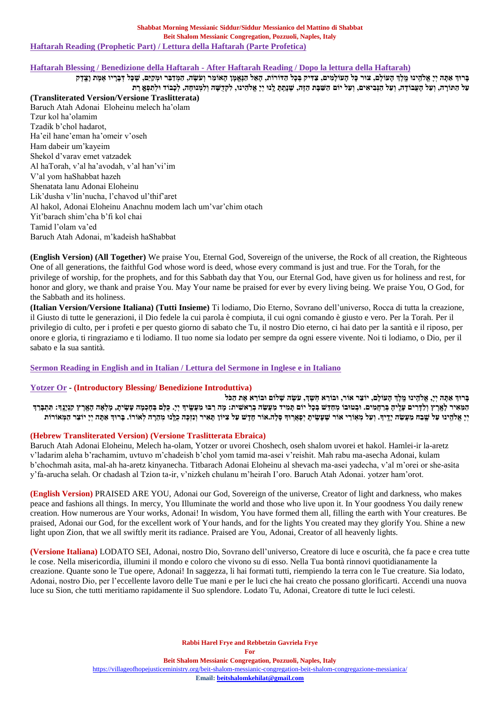### **Haftarah Blessing / Benedizione della Haftarah - [After Haftarah Reading / Dopo la lettura della Haftarah\)](https://soundcloud.com/user-114005263/blessing-after-haftarah-benedizione-dopo-la-lettura-della-haftarah?in=user-114005263/sets/blessings-benedizioni)**

ברוד אתה יי אלהינו מלך העולם, צור כל העולמים, צדיק בכל הדורות, האל הנאמן האומר ועשה, המדבר ומקים, שכל דבריו אמת וצדק על החורה, ועל העבודה, ועל הוביאים, ועל יום השפת הזה, שנתת לנו יי אלהינו, לקדשה ולמנוחה, לכבוד ולתפא רת **(Transliterated Version/Versione Traslitterata)** Baruch Atah Adonai Eloheinu melech ha'olam Tzur kol ha'olamim Tzadik b'chol hadarot, Ha'eil hane'eman ha'omeir v'oseh Ham dabeir um'kayeim Shekol d'varav emet vatzadek Al haTorah, v'al ha'avodah, v'al han'vi'im V'al yom haShabbat hazeh Shenatata lanu Adonai Eloheinu Lik'dusha v'lin'nucha, l'chavod ul'thif'aret Al hakol, Adonai Eloheinu Anachnu modem lach um'var'chim otach Yit'barach shim'cha b'fi kol chai Tamid l'olam va'ed Baruch Atah Adonai, m'kadeish haShabbat

**(English Version) (All Together)** We praise You, Eternal God, Sovereign of the universe, the Rock of all creation, the Righteous One of all generations, the faithful God whose word is deed, whose every command is just and true. For the Torah, for the privilege of worship, for the prophets, and for this Sabbath day that You, our Eternal God, have given us for holiness and rest, for honor and glory, we thank and praise You. May Your name be praised for ever by every living being. We praise You, O God, for the Sabbath and its holiness.

**(Italian Version/Versione Italiana) (Tutti Insieme)** Ti lodiamo, Dio Eterno, Sovrano dell'universo, Rocca di tutta la creazione, il Giusto di tutte le generazioni, il Dio fedele la cui parola è compiuta, il cui ogni comando è giusto e vero. Per la Torah. Per il privilegio di culto, per i profeti e per questo giorno di sabato che Tu, il nostro Dio eterno, ci hai dato per la santità e il riposo, per onore e gloria, ti ringraziamo e ti lodiamo. Il tuo nome sia lodato per sempre da ogni essere vivente. Noi ti lodiamo, o Dio, per il sabato e la sua santità.

### **[Sermon Reading in English and in Italian / Lettura del Sermone in Inglese e in Italiano](https://villageofhopejusticeministry.org/sermoni-sermons/)**

### **[Yotzer](https://soundcloud.com/user-114005263/yotzer-blessingbenedizione?in=user-114005263/sets/blessings-benedizioni) Or - (Introductory Blessing/ Benedizione Introduttiva)**

בָּרוּךְ אַתָּה יְיָ, אֱלֹהֵינוּ מֵלֵךְ הָעוֹלָם, יוֹצֵר אוֹר, וּבוֹרֵא חִשָּׁךְ, עֹשֶׂה שָׁלוֹם וּבוֹרֵא אֶת הַכֹּל המאיר לארץ ולדרים עליה ברחמים. ובטובו מחדש בכל יום תמיד מעשה בראשית: מה רבו מעשיד יי. כלם בחכמה עשית, מלאה הארץ קנינד: תתברד יִי אַלְהָינוּ עַל שֱבָה מַעֲשֶׂה יַדֵיךָ. וְעַל מְאוֹרֵי אוֹר שֵׁעֲשָׂית יִפְאֲרוּךְ סֶלָה.אוֹר חַדָשׁ עַל צִיּוֹךְ הַאֵיר וְנִזְכָּה כִלֵנוּ מְהָרָה לְאוֹרוֹ. בְּרוּךְ אַתָּה יִי יוֹצֶר הַמְאוֹרוֹת

### **(Hebrew Transliterated Version) (Versione Traslitterata Ebraica)**

Baruch Atah Adonai Eloheinu, Melech ha-olam, Yotzer or uvorei Choshech, oseh shalom uvorei et hakol. Hamlei-ir la-aretz v'ladarim aleha b'rachamim, uvtuvo m'chadeish b'chol yom tamid ma-asei v'reishit. Mah rabu ma-asecha Adonai, kulam b'chochmah asita, mal-ah ha-aretz kinyanecha. Titbarach Adonai Eloheinu al shevach ma-asei yadecha, v'al m'orei or she-asita y'fa-arucha selah. Or chadash al Tzion ta-ir, v'nizkeh chulanu m'heirah I'oro. Baruch Atah Adonai. yotzer ham'orot.

**(English Version)** PRAISED ARE YOU, Adonai our God, Sovereign of the universe, Creator of light and darkness, who makes peace and fashions all things. In mercy, You Illuminate the world and those who live upon it. In Your goodness You daily renew creation. How numerous are Your works, Adonai! In wisdom, You have formed them all, filling the earth with Your creatures. Be praised, Adonai our God, for the excellent work of Your hands, and for the lights You created may they glorify You. Shine a new light upon Zion, that we all swiftly merit its radiance. Praised are You, Adonai, Creator of all heavenly lights.

**(Versione Italiana)** LODATO SEI, Adonai, nostro Dio, Sovrano dell'universo, Creatore di luce e oscurità, che fa pace e crea tutte le cose. Nella misericordia, illumini il mondo e coloro che vivono su di esso. Nella Tua bontà rinnovi quotidianamente la creazione. Quante sono le Tue opere, Adonai! In saggezza, li hai formati tutti, riempiendo la terra con le Tue creature. Sia lodato, Adonai, nostro Dio, per l'eccellente lavoro delle Tue mani e per le luci che hai creato che possano glorificarti. Accendi una nuova luce su Sion, che tutti meritiamo rapidamente il Suo splendore. Lodato Tu, Adonai, Creatore di tutte le luci celesti.

> **Rabbi Harel Frye and Rebbetzin Gavriela Frye For**

### **Beit Shalom Messianic Congregation, Pozzuoli, Naples, Italy**

<https://villageofhopejusticeministry.org/beit-shalom-messianic-congregation-beit-shalom-congregazione-messianica/>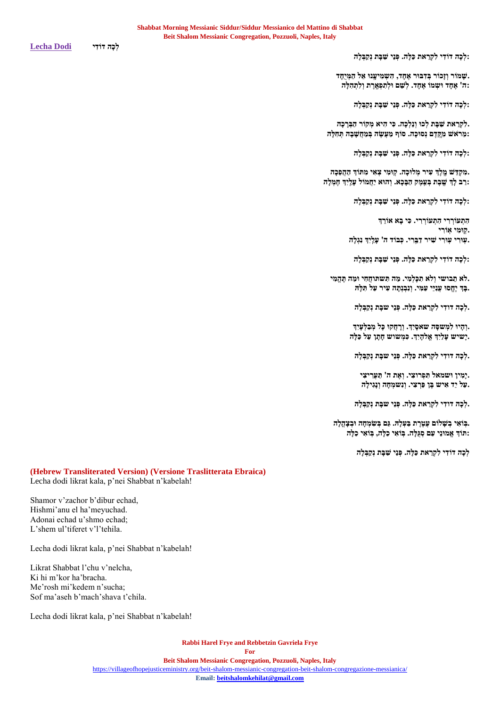**:לְ כָּה דֹודִּ י לִּ קְ רַ את כַלָּה. פְ נֵּי שַ בָּ ת נְקַ בְ לָּה**

.<br>שַמּוֹר וְזָכוֹר בְּדְבּוּר אֶחֶד, הָשְמִיעֲנוּ אֵל הַמִּיְחֵד **:ה' אֶ חָּ ד ּושְ מֹו אֶ חָּ ד. לְ שֵּ ם ּולְ תִּ פְ אֵֶֽ רֶ ת וְ לִּ תְ הִּ לָּה**

**:לְ כָּה דֹודִּ י לִּ קְ רַ את כַלָּה. פְ נֵּי שַ בָּ ת נְקַ בְ לָּה**

לִקְרַאת שַׁבָּת לְכוּ וְנֵלְכָה. כִּי הִיא מְקוֹר הַבְּרָכָה. **:מֵּ רֹאש מִּ קֵֶֽ דֶ ם נְ סּוכָּה. סֹוף מַ עְֲֶׂ ה בְ מַ חֲשָּ בָּ ה תְ חִּ לָּה**

**:לְ כָּה דֹודִּ י לִּ קְ רַ את כַלָּה. פְ נֵּי שַ בָּ ת נְקַ בְ לָּה**

**.מִּ קְ וַּ ש מֵֶֽ לְֶך עִּ יר מְ לּוכָּה. קֵֽ ּומִּ י צְ אִּ י מִּ תֹוְך הַ הֲפֵּכָּה :רַ ב לְָּך שֵֶֽ בֶ ת בְ עֵֵּֽ מֶ ק הַ בָּ כָּא. וְ הּוא יַחֲמֹול עָּלֵַֽ יְִּך חֶ מְ לָּה**

**:לְ כָּה דֹודִּ י לִּ קְ רַ את כַלָּה. פְ נֵּי שַ בָּ ת נְקַ בְ לָּה**

**הִּ תְ עֹורְ רִּ י הִּ תְ עֹורְ רִּ י. כִּ י בָּ א אֹורֵּ ְך .קֵֽ ֵּֽומִּ י אֵֽ ֹורִּ י .עֵֽ ּורִּ י עֵֽ ּורִּ י שִּ יר דַ בֵֵּֽ רִּ י. כְ בֹוד ה' עָּלֵַֽ יְִּך נִּגְ לָּה**

**:לְ כָּה דֹודִּ י לִּ קְ רַ את כַלָּה. פְ נֵּי שַ בָּ ת נְקַ בְ לָּה**

**.לא תֵּ בושי וְ לא תִּ כָּלְ מִּ י. מַ ה תִּ שתוחֲחִּ י ּומַ ה תֶ הֱמִּ י .בָּ ְך יֶחֱסּו עֲנִּיֵּי עַוִּּ י. וְ נִּבְ נְתָּ ה עִּ יר עַל תִּ לָּּה**

**.לְ כָּה דודִּ י לִּ קְ רַ את כַלָּה. פְ נֵּי שבָּ ת נְקַ בְ לָּה**

**.וְ הָּ יּו לִּ מְ שסָּ ה שאסָּ יְִּך. וְ רָּ חֲקּו כָּל מְ בַ לְ עָּיִּ ְך .יָּשיש עָּלַיְִּך אֱלהָּ יְִּך. כִּ מְ שוש חָּ תָּ ן עַל כַלָּה**

**.לְ כָּה דודִּ י לִּ קְ רַ את כַלָּה. פְ נֵּי שבָּ ת נְקַ בְ לָּה**

**.יָּמִּ ין ּושמאל תִּ פְ רוצִּ י. וְ אֶ ת ה' תַ עֲרִּ יצִּ י .עַל יַד אִּ יש בֶ ן פַרְ צִּ י. וְ נִּשמְ חָּ ה וְ נָּגִּ ילָּה**

**.לְ כָּה דודִּ י לִּ קְ רַ את כַלָּה. פְ נֵּי שבָּ ת נְקַ בְ לָּה**

**.בֵֽ ֹואִּ י בְ שָּ לֹום עֲטֶ רֶ ת בַ עְ לָּּה. גַם בְ ְִּׂ מְ חָּ ה ּובְ צָּ הֳלָּה :תֹוְך אֱמּונֵּי עַם סְ גֻלָּה. בֵֽ ֹואִּ י כַלָּה, בֵֽ ֹואִּ י כַלָּה**

לְכָה דוֹדִי לִקְרַאת כַּלָּה. פְּנֵי שַׁבָּת נִקְבְּלָה

## **(Hebrew Transliterated Version) (Versione Traslitterata Ebraica)**

Lecha dodi likrat kala, p'nei Shabbat n'kabelah!

Shamor v'zachor b'dibur echad, Hishmi'anu el ha'meyuchad. Adonai echad u'shmo echad; L'shem ul'tiferet v'l'tehila.

Lecha dodi likrat kala, p'nei Shabbat n'kabelah!

Likrat Shabbat l'chu v'nelcha, Ki hi m'kor ha'bracha. Me'rosh mi'kedem n'sucha; Sof ma'aseh b'mach'shava t'chila.

Lecha dodi likrat kala, p'nei Shabbat n'kabelah!

**Rabbi Harel Frye and Rebbetzin Gavriela Frye For Beit Shalom Messianic Congregation, Pozzuoli, Naples, Italy**

<https://villageofhopejusticeministry.org/beit-shalom-messianic-congregation-beit-shalom-congregazione-messianica/>

**Email[: beitshalomkehilat@gmail.com](mailto:beitshalomkehilat@gmail.com)**

**לְ כָּה דֹודִּ י [Dodi Lecha](https://soundcloud.com/user-114005263/lcha-dodi-chanted-cantata?in=user-114005263/sets/new-songs-for-shabbat-nuovi)**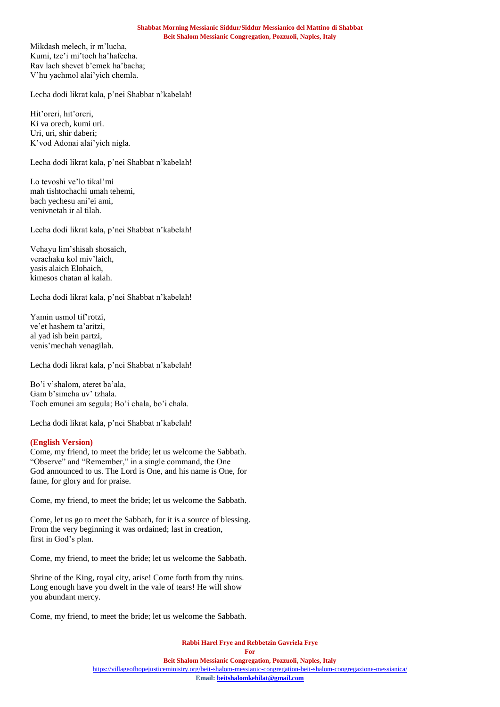Mikdash melech, ir m'lucha, Kumi, tze'i mi'toch ha'hafecha. Rav lach shevet b'emek ha'bacha; V'hu yachmol alai'yich chemla.

Lecha dodi likrat kala, p'nei Shabbat n'kabelah!

Hit'oreri, hit'oreri, Ki va orech, kumi uri. Uri, uri, shir daberi; K'vod Adonai alai'yich nigla.

Lecha dodi likrat kala, p'nei Shabbat n'kabelah!

Lo tevoshi ve'lo tikal'mi mah tishtochachi umah tehemi, bach yechesu ani'ei ami, venivnetah ir al tilah.

Lecha dodi likrat kala, p'nei Shabbat n'kabelah!

Vehayu lim'shisah shosaich, verachaku kol miv'laich, yasis alaich Elohaich, kimesos chatan al kalah.

Lecha dodi likrat kala, p'nei Shabbat n'kabelah!

Yamin usmol tif'rotzi, ve'et hashem ta'aritzi, al yad ish bein partzi, venis'mechah venagilah.

Lecha dodi likrat kala, p'nei Shabbat n'kabelah!

Bo'i v'shalom, ateret ba'ala, Gam b'simcha uv' tzhala. Toch emunei am segula; Bo'i chala, bo'i chala.

Lecha dodi likrat kala, p'nei Shabbat n'kabelah!

### **(English Version)**

Come, my friend, to meet the bride; let us welcome the Sabbath. "Observe" and "Remember," in a single command, the One God announced to us. The Lord is One, and his name is One, for fame, for glory and for praise.

Come, my friend, to meet the bride; let us welcome the Sabbath.

Come, let us go to meet the Sabbath, for it is a source of blessing. From the very beginning it was ordained; last in creation, first in God's plan.

Come, my friend, to meet the bride; let us welcome the Sabbath.

Shrine of the King, royal city, arise! Come forth from thy ruins. Long enough have you dwelt in the vale of tears! He will show you abundant mercy.

Come, my friend, to meet the bride; let us welcome the Sabbath.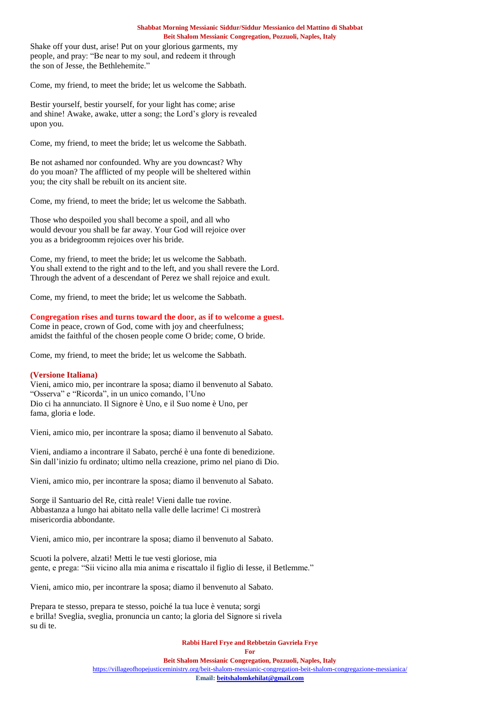Shake off your dust, arise! Put on your glorious garments, my people, and pray: "Be near to my soul, and redeem it through the son of Jesse, the Bethlehemite."

Come, my friend, to meet the bride; let us welcome the Sabbath.

Bestir yourself, bestir yourself, for your light has come; arise and shine! Awake, awake, utter a song; the Lord's glory is revealed upon you.

Come, my friend, to meet the bride; let us welcome the Sabbath.

Be not ashamed nor confounded. Why are you downcast? Why do you moan? The afflicted of my people will be sheltered within you; the city shall be rebuilt on its ancient site.

Come, my friend, to meet the bride; let us welcome the Sabbath.

Those who despoiled you shall become a spoil, and all who would devour you shall be far away. Your God will rejoice over you as a bridegroomm rejoices over his bride.

Come, my friend, to meet the bride; let us welcome the Sabbath. You shall extend to the right and to the left, and you shall revere the Lord. Through the advent of a descendant of Perez we shall rejoice and exult.

Come, my friend, to meet the bride; let us welcome the Sabbath.

### **Congregation rises and turns toward the door, as if to welcome a guest.**

Come in peace, crown of God, come with joy and cheerfulness; amidst the faithful of the chosen people come O bride; come, O bride.

Come, my friend, to meet the bride; let us welcome the Sabbath.

### **(Versione Italiana)**

Vieni, amico mio, per incontrare la sposa; diamo il benvenuto al Sabato. "Osserva" e "Ricorda", in un unico comando, l'Uno Dio ci ha annunciato. Il Signore è Uno, e il Suo nome è Uno, per fama, gloria e lode.

Vieni, amico mio, per incontrare la sposa; diamo il benvenuto al Sabato.

Vieni, andiamo a incontrare il Sabato, perché è una fonte di benedizione. Sin dall'inizio fu ordinato; ultimo nella creazione, primo nel piano di Dio.

Vieni, amico mio, per incontrare la sposa; diamo il benvenuto al Sabato.

Sorge il Santuario del Re, città reale! Vieni dalle tue rovine. Abbastanza a lungo hai abitato nella valle delle lacrime! Ci mostrerà misericordia abbondante.

Vieni, amico mio, per incontrare la sposa; diamo il benvenuto al Sabato.

Scuoti la polvere, alzati! Metti le tue vesti gloriose, mia gente, e prega: "Sii vicino alla mia anima e riscattalo il figlio di Iesse, il Betlemme."

Vieni, amico mio, per incontrare la sposa; diamo il benvenuto al Sabato.

Prepara te stesso, prepara te stesso, poiché la tua luce è venuta; sorgi e brilla! Sveglia, sveglia, pronuncia un canto; la gloria del Signore si rivela su di te.

#### **Rabbi Harel Frye and Rebbetzin Gavriela Frye**

**For**

**Beit Shalom Messianic Congregation, Pozzuoli, Naples, Italy**

<https://villageofhopejusticeministry.org/beit-shalom-messianic-congregation-beit-shalom-congregazione-messianica/>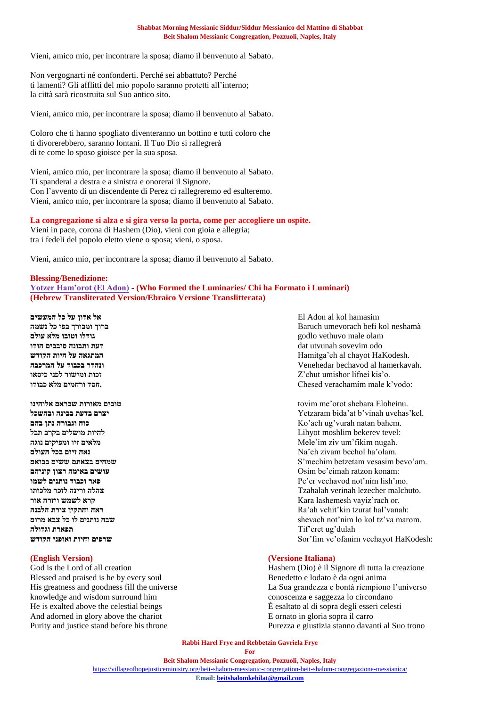Vieni, amico mio, per incontrare la sposa; diamo il benvenuto al Sabato.

Non vergognarti né confonderti. Perché sei abbattuto? Perché ti lamenti? Gli afflitti del mio popolo saranno protetti all'interno; la città sarà ricostruita sul Suo antico sito.

Vieni, amico mio, per incontrare la sposa; diamo il benvenuto al Sabato.

Coloro che ti hanno spogliato diventeranno un bottino e tutti coloro che ti divorerebbero, saranno lontani. Il Tuo Dio si rallegrerà di te come lo sposo gioisce per la sua sposa.

Vieni, amico mio, per incontrare la sposa; diamo il benvenuto al Sabato. Ti spanderai a destra e a sinistra e onorerai il Signore. Con l'avvento di un discendente di Perez ci rallegreremo ed esulteremo. Vieni, amico mio, per incontrare la sposa; diamo il benvenuto al Sabato.

### **La congregazione si alza e si gira verso la porta, come per accogliere un ospite.**

Vieni in pace, corona di Hashem (Dio), vieni con gioia e allegria; tra i fedeli del popolo eletto viene o sposa; vieni, o sposa.

Vieni, amico mio, per incontrare la sposa; diamo il benvenuto al Sabato.

#### **Blessing/Benedizione:**

**[Yotzer Ham'orot \(El Adon\)](https://soundcloud.com/user-114005263/gad-elbaz-el-adon) - (Who Formed the Luminaries/ Chi ha Formato i Luminari) (Hebrew Transliterated Version/Ebraico Versione Translitterata)**

hamasim kol al Adon El **אל אדון על כל המעשים**

**וגדולה תפארת** Tif'eret ug'dulah

Blessed and praised is he by every soul Benedetto e lodato è da ogni anima knowledge and wisdom surround him conoscenza e saggezza lo circondano He is exalted above the celestial beings È esaltato al di sopra degli esseri celesti And adorned in glory above the chariot E ornato in gloria sopra il carro

neshamà kol befi umevorach Baruch **ברוך ומבורך בפי כל נשמה** olam male vethuvo godlo **גודלו וטובו מלא עולם** odo sovevim utvunah dat **דעת ותבונה סובבים הודו הקודש חיות על המתגאה** Hamitga'eh al chayot HaKodesh. .hamerkavah al bechavod Venehedar **ונהדר בכבוד על המרכבה כיסאו לפני ומישור זכות** Z'chut umishor lifnei kis'o. **כבודו מלא ורחמים חסד.** Chesed verachamim male k'vodo:

**אלוהינו שבראם מאורות טובים** tovim me'orot shebara Eloheinu. **ובהשכל בבינה בדעת יצרם** Yetzaram bida'at b'vinah uvehas'kel. **בהם נתן וגבורה כוח** Ko'ach ug'vurah natan bahem. :tevel bekerev moshlim Lihyot **להיות מושלים בקרב תבל נוגה ומפיקים זיו מלאים** Mele'im ziv um'fikim nugah. **העולם בכל זיום נאה** Na'eh zivam bechol ha'olam. **בבואם ששים בצאתם שמחים** S'mechim betzetam vesasim bevo'am. **קוניהם רצון באימה עושים** Osim be'eimah ratzon konam: **לשמו נותנים וכבוד פאר** Pe'er vechavod not'nim lish'mo. .malchuto lezecher verinah Tzahalah **צהלה ורינה לזכר מלכותו אור ויזרח לשמש קרא** Kara lashemesh vayiz'rach or. **הלבנה צורת והתקין ראה** Ra'ah vehit'kin tzurat hal'vanah: **מרום צבא כל לו נותנים שבח** shevach not'nim lo kol tz'va marom. **הקודש ואופני וחיות שרפים** Sor'fim ve'ofanim vechayot HaKodesh:

#### **(English Version) (Versione Italiana)**

God is the Lord of all creation **Hashem** (Dio) è il Signore di tutta la creazione His greatness and goodness fill the universe La Sua grandezza e bontà riempiono l'universo Purity and justice stand before his throne Purezza e giustizia stanno davanti al Suo trono

> **Rabbi Harel Frye and Rebbetzin Gavriela Frye For**

#### **Beit Shalom Messianic Congregation, Pozzuoli, Naples, Italy**

<https://villageofhopejusticeministry.org/beit-shalom-messianic-congregation-beit-shalom-congregazione-messianica/>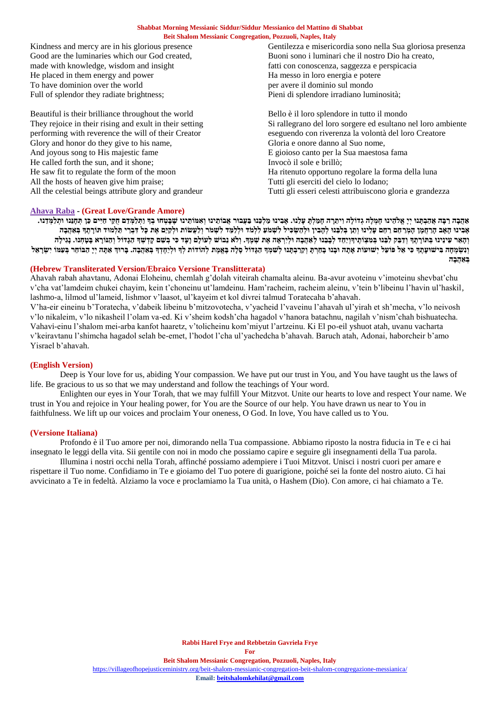made with knowledge, wisdom and insight fatti con conoscenza, saggezza e perspicacia He placed in them energy and power Ha messo in loro energia e potere To have dominion over the world per avere il dominio sul mondo Full of splendor they radiate brightness; Pieni di splendore irradiano luminosità;

Beautiful is their brilliance throughout the world<br>
They rejoice in their rising and exult in their setting<br>
Si rallegrano del loro sorgere ed esultano is Glory and honor do they give to his name, Gloria e onore danno al Suo nome, And joyous song to His majestic fame E gioioso canto per la Sua maestosa fama He called forth the sun, and it shone; Invocò il sole e brillò; He saw fit to regulate the form of the moon Ha ritenuto opportuno regolare la forma della luna All the hosts of heaven give him praise; Tutti gli eserciti del cielo lo lodano;

Kindness and mercy are in his glorious presence Gentilezza e misericordia sono nella Sua gloriosa presenza Good are the luminaries which our God created, Buoni sono i luminari che il nostro Dio ha creato,

They rejoice in their rising and exult in their setting Si rallegrano del loro sorgere ed esultano nel loro ambiente performing with reverence the will of their Creator eseguendo con riverenza la volontà del loro Creatore eseguendo con riverenza la volontà del loro Creatore All the celestial beings attribute glory and grandeur Tutti gli esseri celesti attribuiscono gloria e grandezza

### **[Ahava Raba](https://soundcloud.com/user-114005263/abundant-love-amore-abondante-ahava-raba?in=user-114005263/sets/blessings-benedizioni) - (Great Love/Grande Amore)**

אהבה רבה אהבתנו יי אלהינו חמלה גדולה ויתרה חמלת עלנו. אבינו מלכנו בעבור אבותינו ואמותינו שבטחו בד ותלמדם חקי חיים כן תחננו ותלמדנו. אָבִינוּ הָאָב הַרַחַמַן הַמְרַחָם רַחֵם עַלִינוּ וְתָן בִּלְבֵּנוּ לְהַבִין וּלְהַשִׂכִּיל לְשִׁמֹע לְלִמֹד וּלְלֹמֵד לְשָׁמֹר וְלַעֲשׂוֹת וּלְקֵיֵם אֶת כַּל דִּבְרִי הַלְמוּד תּוֹרְתָדְּ בָּאַהָבָה והאר עינינו בתורתה ודבק לבנו במצותיהויחד לכבנו לאהבה וליראה את שמה. ולא נבוש לעולם ועד כי בשם קדשה הגדול והנורא בטחנו. נגילה וְנִשְׂמְחָה בִּישׁוּעָתָךְ כִּי אֵל פּוֹעַל יְשׁוּעוֹת אָתָה וּבְנוּ בְחַרְתָ וְקַרַבְתָנוּ לְשִׁמְךָ הַגָּדוֹל סָלָה בָּאֱמֶת לְהוֹדוֹת לְךָ וּלְיַחָדְךָ בְּאַהֲבָה. בְּרוּךְ אַתָּה יִיָ הַבּוֹחֵר בְּעַמּוֹ יִשְׂרָאֵל **בְ אַ הֲבָּ ה**

### **(Hebrew Transliterated Version/Ebraico Versione Translitterata)**

Ahavah rabah ahavtanu, Adonai Eloheinu, chemlah g'dolah viteirah chamalta aleinu. Ba-avur avoteinu v'imoteinu shevbat'chu v'cha vat'lamdeim chukei chayim, kein t'choneinu ut'lamdeinu. Ham'racheim, racheim aleinu, v'tein b'libeinu l'havin ul'haskil, lashmo-a, lilmod ul'lameid, lishmor v'laasot, ul'kayeim et kol divrei talmud Toratecaha b'ahavah.

V'ha-eir eineinu b'Toratecha, v'dabeik libeinu b'mitzovotecha, v'yacheid l'vaveinu l'ahavah ul'yirah et sh'mecha, v'lo neivosh v'lo nikaleim, v'lo nikasheil l'olam va-ed. Ki v'sheim kodsh'cha hagadol v'hanora batachnu, nagilah v'nism'chah bishuatecha. Vahavi-einu l'shalom mei-arba kanfot haaretz, v'tolicheinu kom'miyut l'artzeinu. Ki El po-eil yshuot atah, uvanu vacharta v'keiravtanu l'shimcha hagadol selah be-emet, l'hodot l'cha ul'yachedcha b'ahavah. Baruch atah, Adonai, haborcheir b'amo Yisrael b'ahavah.

### **(English Version)**

Deep is Your love for us, abiding Your compassion. We have put our trust in You, and You have taught us the laws of life. Be gracious to us so that we may understand and follow the teachings of Your word.

Enlighten our eyes in Your Torah, that we may fulfill Your Mitzvot. Unite our hearts to love and respect Your name. We trust in You and rejoice in Your healing power, for You are the Source of our help. You have drawn us near to You in faithfulness. We lift up our voices and proclaim Your oneness, O God. In love, You have called us to You.

### **(Versione Italiana)**

Profondo è il Tuo amore per noi, dimorando nella Tua compassione. Abbiamo riposto la nostra fiducia in Te e ci hai insegnato le leggi della vita. Sii gentile con noi in modo che possiamo capire e seguire gli insegnamenti della Tua parola.

Illumina i nostri occhi nella Torah, affinché possiamo adempiere i Tuoi Mitzvot. Unisci i nostri cuori per amare e rispettare il Tuo nome. Confidiamo in Te e gioiamo del Tuo potere di guarigione, poiché sei la fonte del nostro aiuto. Ci hai avvicinato a Te in fedeltà. Alziamo la voce e proclamiamo la Tua unità, o Hashem (Dio). Con amore, ci hai chiamato a Te.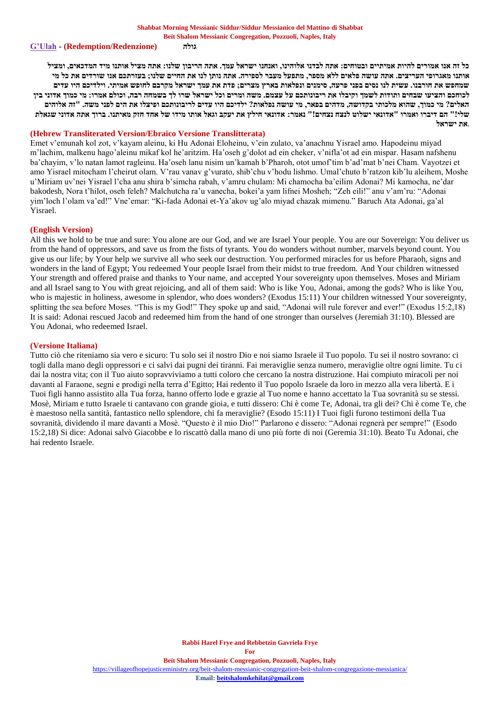#### **[G'Ulah](https://soundcloud.com/user-114005263/redemption-gulah-7th-blessing-from-the-amida-standing-prayer) - (Redemption/Redenzione) גולה**

**כל זה אנו אמורים להיות אמיתיים ובטוחים: אתה לבדנו אלוהינו, ואנחנו ישראל עמך. אתה הריבון שלנו: אתה מציל אותנו מיד המדכאים, ומציל אותנו מאגרופי העריצים. אתה עושה פלאים ללא מספר, מתפעל מעבר לספירה. אתה נותן לנו את החיים שלנו; בעזרתכם אנו שורדים את כל מי שמחפש את חורבנו. עשית לנו נסים בפני פרעה, סימנים ונפלאות בארץ מצרים; פדת את עמך ישראל מקרבם לחופש אמיתי. וילדיכם היו עדים לכוחכם והציעו שבחים ותודות לשמך וקיבלו את ריבונותכם על עצמם. משה ומרים וכל ישראל שרו לך בשמחה רבה, וכולם אמרו: מי כמוך אדוני בין האלים? מי כמוך, שהוא מלכותי בקדושה, מדהים בפאר, מי עושה נפלאות? ילדיכם היו עדים לריבונותכם ופיצלו את הים לפני משה. "זה אלוהים שלי!" הם דיברו ואמרו "אדונאי ישלוט לנצח נצחים!" נאמר: אדונאי חילץ את יעקב וגאל אותו מידו של אחד חזק מאיתנו. ברוך אתה אדוני שגאלת**  .**את ישראל**

### **(Hebrew Transliterated Version/Ebraico Versione Translitterata)**

Emet v'emunah kol zot, v'kayam aleinu, ki Hu Adonai Eloheinu, v'ein zulato, va'anachnu Yisrael amo. Hapodeinu miyad m'lachim, malkenu hago'aleinu mikaf kol he'aritzim. Ha'oseh g'dolot ad ein cheker, v'nifla'ot ad ein mispar. Hasam nafshenu ba'chayim, v'lo natan lamot ragleinu. Ha'oseh lanu nisim un'kamah b'Pharoh, otot umof'tim b'ad'mat b'nei Cham. Vayotzei et amo Yisrael mitocham l'cheirut olam. V'rau vanav g'vurato, shib'chu v'hodu lishmo. Umal'chuto b'ratzon kib'lu aleihem, Moshe u'Miriam uv'nei Yisrael l'cha anu shira b'simcha rabah, v'amru chulam: Mi chamocha ba'eilim Adonai? Mi kamocha, ne'dar bakodesh, Nora t'hilot, oseh feleh? Malchutcha ra'u vanecha, bokei'a yam lifnei Mosheh; "Zeh eili!" anu v'am'ru: "Adonai yim'loch l'olam va'ed!" Vne'emar: "Ki-fada Adonai et-Ya'akov ug'alo miyad chazak mimenu." Baruch Ata Adonai, ga'al Yisrael.

#### **(English Version)**

All this we hold to be true and sure: You alone are our God, and we are Israel Your people. You are our Sovereign: You deliver us from the hand of oppressors, and save us from the fists of tyrants. You do wonders without number, marvels beyond count. You give us our life; by Your help we survive all who seek our destruction. You performed miracles for us before Pharaoh, signs and wonders in the land of Egypt; You redeemed Your people Israel from their midst to true freedom. And Your children witnessed Your strength and offered praise and thanks to Your name, and accepted Your sovereignty upon themselves. Moses and Miriam and all Israel sang to You with great rejoicing, and all of them said: Who is like You, Adonai, among the gods? Who is like You, who is majestic in holiness, awesome in splendor, who does wonders? (Exodus 15:11) Your children witnessed Your sovereignty, splitting the sea before Moses. "This is my God!" They spoke up and said, "Adonai will rule forever and ever!" (Exodus 15:2,18) It is said: Adonai rescued Jacob and redeemed him from the hand of one stronger than ourselves (Jeremiah 31:10). Blessed are You Adonai, who redeemed Israel.

#### **(Versione Italiana)**

Tutto ciò che riteniamo sia vero e sicuro: Tu solo sei il nostro Dio e noi siamo Israele il Tuo popolo. Tu sei il nostro sovrano: ci togli dalla mano degli oppressori e ci salvi dai pugni dei tiranni. Fai meraviglie senza numero, meraviglie oltre ogni limite. Tu ci dai la nostra vita; con il Tuo aiuto sopravviviamo a tutti coloro che cercano la nostra distruzione. Hai compiuto miracoli per noi davanti al Faraone, segni e prodigi nella terra d'Egitto; Hai redento il Tuo popolo Israele da loro in mezzo alla vera libertà. E i Tuoi figli hanno assistito alla Tua forza, hanno offerto lode e grazie al Tuo nome e hanno accettato la Tua sovranità su se stessi. Mosè, Miriam e tutto Israele ti cantavano con grande gioia, e tutti dissero: Chi è come Te, Adonai, tra gli dei? Chi è come Te, che è maestoso nella santità, fantastico nello splendore, chi fa meraviglie? (Esodo 15:11) I Tuoi figli furono testimoni della Tua sovranità, dividendo il mare davanti a Mosè. "Questo è il mio Dio!" Parlarono e dissero: "Adonai regnerà per sempre!" (Esodo 15:2,18) Si dice: Adonai salvò Giacobbe e lo riscattò dalla mano di uno più forte di noi (Geremia 31:10). Beato Tu Adonai, che hai redento Israele.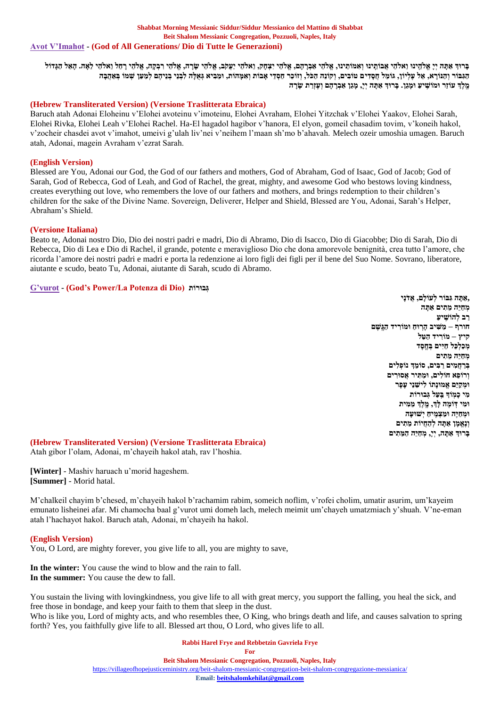בּרוּד אַמַה יִי אַלֹהֵינוּ וַאלֹהֵי אַבּוֹתֵינוּ וְאִמוֹתֵינוּ, אֵלֹהֵי אַבְרָהָם, אֲלֹהֵי יִעֲקֹב, אֱלֹהֵי שָׂרָה, אֱלֹהֵי רִבְקָה, אֱלֹהֵי רָחֵל וֵאלֹהֵי לֵאָה. הָאֵל הַגְּדוֹל הגבור והנורא, אל עליון, גומל חסדים טובים, וקונה הכל, וזוכר חסדי אבות ואמהות, ומביא גאלה לבני בניהם למען שמו באהבה **מֵֶֽ לְֶך עֹוזֵּר ּומֹושִֵּֽ יעַ ּומָּ גֵּן. בָּ רּוְך אַ תָּ ה יְי,ָּ מָּ גֵּן אַ בְ רָּ הָּ ם וְ עֶזְרַ ת ְָּׂ רָּ ה**

### **(Hebrew Transliterated Version) (Versione Traslitterata Ebraica)**

Baruch atah Adonai Eloheinu v'Elohei avoteinu v'imoteinu, Elohei Avraham, Elohei Yitzchak v'Elohei Yaakov, Elohei Sarah, Elohei Rivka, Elohei Leah v'Elohei Rachel. Ha-El hagadol hagibor v'hanora, El elyon, gomeil chasadim tovim, v'koneih hakol, v'zocheir chasdei avot v'imahot, umeivi g'ulah liv'nei v'neihem l'maan sh'mo b'ahavah. Melech ozeir umoshia umagen. Baruch atah, Adonai, magein Avraham v'ezrat Sarah.

### **(English Version)**

Blessed are You, Adonai our God, the God of our fathers and mothers, God of Abraham, God of Isaac, God of Jacob; God of Sarah, God of Rebecca, God of Leah, and God of Rachel, the great, mighty, and awesome God who bestows loving kindness, creates everything out love, who remembers the love of our fathers and mothers, and brings redemption to their children's children for the sake of the Divine Name. Sovereign, Deliverer, Helper and Shield, Blessed are You, Adonai, Sarah's Helper, Abraham's Shield.

### **(Versione Italiana)**

Beato te, Adonai nostro Dio, Dio dei nostri padri e madri, Dio di Abramo, Dio di Isacco, Dio di Giacobbe; Dio di Sarah, Dio di Rebecca, Dio di Lea e Dio di Rachel, il grande, potente e meraviglioso Dio che dona amorevole benignità, crea tutto l'amore, che ricorda l'amore dei nostri padri e madri e porta la redenzione ai loro figli dei figli per il bene del Suo Nome. Sovrano, liberatore, aiutante e scudo, beato Tu, Adonai, aiutante di Sarah, scudo di Abramo.

### **[G'vurot](https://soundcloud.com/user-114005263/gvurot-prayer-preghiera) - (God's Power/La Potenza di Dio) ותֹורּב ְג**

**,אַ תָּ ה גִּ בֹור לְ עֹולָּם, אֲדֹנָּי מְ חַ יֵּה מֵּ תִּ ים אַ תָּ ה רַ ב לְ הֹושִֵּֽ יעַ חורף – מַ שִּ יב הָּ רֵֽ ּוחַ ּומֹורִּ יד הַ גֵֶֽשֶ ם קיץ – מֹורִּ יד הַ טַ ל ְמ ַכ ְל ֵּכל ַחִּיים ְבֵֶֽח ֶסד מְ חַ יֵּה מֵּ תִּ ים בְ רַ חֲמִּ ים רַ בִּ ים, סֹומֵּ ְך נֹופְ לִּ ים וְ רֹופֵּא חֹולִּ ים, ּומַ תִּ יר אֲסּורִּ ים ּומְ קַ יֵּם אֱמּונָּתֹו לִּ ישֵּ נֵּי עָּפָּ ר מִּ י כָּמֵֽ ֹוָך בֵַֽ עַל גְ בּורֹות ּומִּ י וֵּֽ ֹומֶ ה לְָּך, מֵֶֽ לְֶך מֵּ מִּ ית ּומְ חַ יֶה ּומַ צְ מִֵּֽ יחַ יְשּועָּה וְ נֶאֱמָּ ן אַ תָּ ה לְ הַ חֲיֹות מֵּ תִּ ים בָּ רּוְך אַ תָּ ה, יְי,ָּ מְ חַ יֵּה הַ וֵּּ תִּ ים**

### **(Hebrew Transliterated Version) (Versione Traslitterata Ebraica)** Atah gibor l'olam, Adonai, m'chayeih hakol atah, rav l'hoshia.

**[Winter]** - Mashiv haruach u'morid hageshem. **[Summer]** - Morid hatal.

M'chalkeil chayim b'chesed, m'chayeih hakol b'rachamim rabim, someich noflim, v'rofei cholim, umatir asurim, um'kayeim emunato lisheinei afar. Mi chamocha baal g'vurot umi domeh lach, melech meimit um'chayeh umatzmiach y'shuah. V'ne-eman atah l'hachayot hakol. Baruch atah, Adonai, m'chayeih ha hakol.

#### **(English Version)**

You, O Lord, are mighty forever, you give life to all, you are mighty to save,

**In the winter:** You cause the wind to blow and the rain to fall. **In the summer:** You cause the dew to fall.

You sustain the living with lovingkindness, you give life to all with great mercy, you support the falling, you heal the sick, and free those in bondage, and keep your faith to them that sleep in the dust. Who is like you, Lord of mighty acts, and who resembles thee, O King, who brings death and life, and causes salvation to spring forth? Yes, you faithfully give life to all. Blessed art thou, O Lord, who gives life to all.

**Rabbi Harel Frye and Rebbetzin Gavriela Frye**

**For**

**Beit Shalom Messianic Congregation, Pozzuoli, Naples, Italy**

<https://villageofhopejusticeministry.org/beit-shalom-messianic-congregation-beit-shalom-congregazione-messianica/>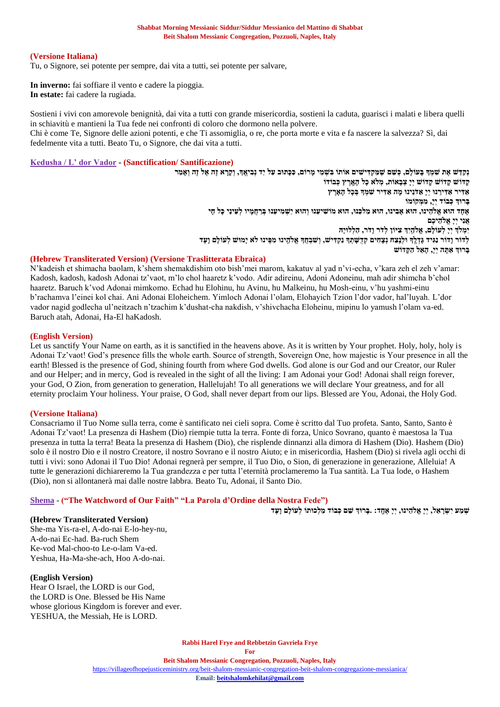### **(Versione Italiana)**

Tu, o Signore, sei potente per sempre, dai vita a tutti, sei potente per salvare,

**In inverno:** fai soffiare il vento e cadere la pioggia. **In estate:** fai cadere la rugiada.

Sostieni i vivi con amorevole benignità, dai vita a tutti con grande misericordia, sostieni la caduta, guarisci i malati e libera quelli in schiavitù e mantieni la Tua fede nei confronti di coloro che dormono nella polvere. Chi è come Te, Signore delle azioni potenti, e che Ti assomiglia, o re, che porta morte e vita e fa nascere la salvezza? Sì, dai fedelmente vita a tutti. Beato Tu, o Signore, che dai vita a tutti.

### **[Kedusha / L' dor Vador](https://soundcloud.com/user-114005263/kedusha) - (Sanctification/ Santificazione)**

נִקְדָּשׁ אֶת שִׁמְךָּ בָּעוֹלָם, כְּשֵׁם שֵׁמַקִדִּישִׁים אוֹתוֹ בִּשְׁמֵי מָרוֹם, כַּכָּתוּב עַל יַד נִבְיְאֱךָ, וְקָרָא זֶה אֶל זֶה וְאָמֵר **קָּ דֹוש קָּ דֹוש קָּ דֹוש יְיָּ צְ בָּ אֹות, מְ לֹא כָּל הָּ אֵָּֽ רֶ ץ כְ בֹודֹו** אַ דִּיר אַ דִּירֵנוּ יִיַּ אַ דֹנֵינוּ מֵה אַ דִּיר שִׁמְךָ בְּכָל הָאָרֶץ **בָּ רּוְך כְ בֹוד יְי,ָּ מִּ וְּ קֹומֹו** אֶחָד הוּא אֱלֹהֵינוּ, הוּא אָבִינוּ, הוּא מַלכֵּנוּ, הוּא מֹוֹשִׁיעֵנוּ וְהוּא יַשְׁמִיעֵנוּ בְּרַחֲמֵיו לִעֵינֵי כַּל חַי **אֲנִּי יְיָּ אֱֹלהֵּ יכֶם יִּמְ ֹלְך יְיָּ לְ עֹולָּם, אֱֹלהֵַֽ יְִּך צִּ יֹון לְ דֹר וָּדֹר, הַ לְ לּויָּּה** לְדֹוֹר וָדוֹר נַגִּיד גָּדְלֶךְ וּלְנֵצַה נְצָהִים קְדֻשָּׁתְךָ נַקְדִּישׁ, וְשִׁבְהָךְ אֱלֹהֵינוּ מִפְִּּינוּ לֹא יָמוּשׁ לְעוֹלָם וַעֵּד **בָּ רּוְך אַ תָּ ה יְי,ָּ הָּ אֵּ ל הַ קָּ דֹוש**

### **(Hebrew Transliterated Version) (Versione Traslitterata Ebraica)**

N'kadeish et shimacha baolam, k'shem shemakdishim oto bish'mei marom, kakatuv al yad n'vi-echa, v'kara zeh el zeh v'amar: Kadosh, kadosh, kadosh Adonai tz'vaot, m'lo chol haaretz k'vodo. Adir adireinu, Adoni Adoneinu, mah adir shimcha b'chol haaretz. Baruch k'vod Adonai mimkomo. Echad hu Elohinu, hu Avinu, hu Malkeinu, hu Mosh-einu, v'hu yashmi-einu b'rachamva l'einei kol chai. Ani Adonai Eloheichem. Yimloch Adonai l'olam, Elohayich Tzion l'dor vador, hal'luyah. L'dor vador nagid godlecha ul'neitzach n'tzachim k'dushat-cha nakdish, v'shivchacha Eloheinu, mipinu lo yamush l'olam va-ed. Baruch atah, Adonai, Ha-El haKadosh.

### **(English Version)**

Let us sanctify Your Name on earth, as it is sanctified in the heavens above. As it is written by Your prophet. Holy, holy, holy is Adonai Tz'vaot! God's presence fills the whole earth. Source of strength, Sovereign One, how majestic is Your presence in all the earth! Blessed is the presence of God, shining fourth from where God dwells. God alone is our God and our Creator, our Ruler and our Helper; and in mercy, God is revealed in the sight of all the living: I am Adonai your God! Adonai shall reign forever, your God, O Zion, from generation to generation, Hallelujah! To all generations we will declare Your greatness, and for all eternity proclaim Your holiness. Your praise, O God, shall never depart from our lips. Blessed are You, Adonai, the Holy God.

### **(Versione Italiana)**

Consacriamo il Tuo Nome sulla terra, come è santificato nei cieli sopra. Come è scritto dal Tuo profeta. Santo, Santo, Santo è Adonai Tz'vaot! La presenza di Hashem (Dio) riempie tutta la terra. Fonte di forza, Unico Sovrano, quanto è maestosa la Tua presenza in tutta la terra! Beata la presenza di Hashem (Dio), che risplende dinnanzi alla dimora di Hashem (Dio). Hashem (Dio) solo è il nostro Dio e il nostro Creatore, il nostro Sovrano e il nostro Aiuto; e in misericordia, Hashem (Dio) si rivela agli occhi di tutti i vivi: sono Adonai il Tuo Dio! Adonai regnerà per sempre, il Tuo Dio, o Sion, di generazione in generazione, Alleluia! A tutte le generazioni dichiareremo la Tua grandezza e per tutta l'eternità proclameremo la Tua santità. La Tua lode, o Hashem (Dio), non si allontanerà mai dalle nostre labbra. Beato Tu, Adonai, il Santo Dio.

### **[Shema](https://soundcloud.com/user-114005263/shema-chanted-cantata)** - **("The Watchword of Our Faith" "La Parola d'Ordine della Nostra Fede")**

**שְ מַ ע יְְִּׂ רָּ אֵּ ל, יְיָּ אֱֹלהֵּ ינּו, יְיָּ אֶ חֵָּֽ ד: .בָּ רּוְך שֵּ ם כְ בֹוד מַ לְ כּותֹו לְ עֹולָּם וָּעֶ ד**

**(Hebrew Transliterated Version)** She-ma Yis-ra-el, A-do-nai E-lo-hey-nu, A-do-nai Ec-had. Ba-ruch Shem Ke-vod Mal-choo-to Le-o-lam Va-ed. Yeshua, Ha-Ma-she-ach, Hoo A-do-nai.

### **(English Version)**

Hear O Israel, the LORD is our God, the LORD is One. Blessed be His Name whose glorious Kingdom is forever and ever. YESHUA, the Messiah, He is LORD.

> **Rabbi Harel Frye and Rebbetzin Gavriela Frye For Beit Shalom Messianic Congregation, Pozzuoli, Naples, Italy** <https://villageofhopejusticeministry.org/beit-shalom-messianic-congregation-beit-shalom-congregazione-messianica/>